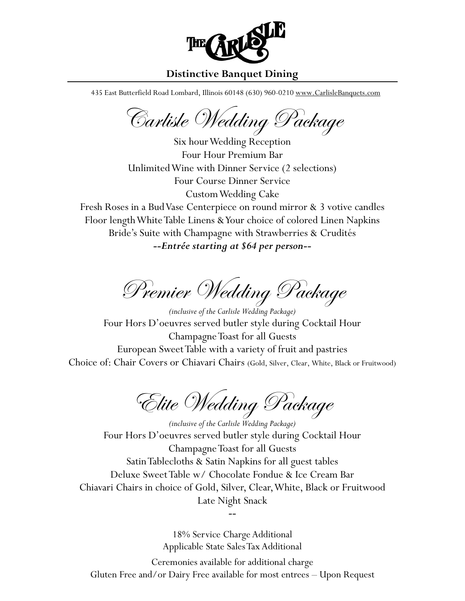

# **Distinctive Banquet Dining**

435 East Butterfield Road Lombard, Illinois 60148 (630) 960-0210 [www.CarlisleBanquets.com](http://www.carlislebanquets.com/)

Carlisle Wedding Package

Six hour Wedding Reception Four Hour Premium Bar Unlimited Wine with Dinner Service (2 selections) Four Course Dinner Service Custom Wedding Cake

Fresh Roses in a Bud Vase Centerpiece on round mirror & 3 votive candles Floor lengthWhite Table Linens & Your choice of colored Linen Napkins Bride's Suite with Champagne with Strawberries & Crudités *--Entrée starting at \$64 per person--*

 $P$ remier Wedding Package

*(inclusive of the Carlisle Wedding Package)* Four Hors D'oeuvres served butler style during Cocktail Hour Champagne Toast for all Guests European Sweet Table with a variety of fruit and pastries Choice of: Chair Covers or Chiavari Chairs (Gold, Silver, Clear, White, Black or Fruitwood)

Elite Wedding Package

*(inclusive of the Carlisle Wedding Package)* Four Hors D'oeuvres served butler style during Cocktail Hour Champagne Toast for all Guests Satin Tablecloths & Satin Napkins for all guest tables Deluxe Sweet Table w/ Chocolate Fondue & Ice Cream Bar Chiavari Chairs in choice of Gold, Silver, Clear, White, Black or Fruitwood Late Night Snack

*--*

18% Service Charge Additional Applicable State Sales Tax Additional Ceremonies available for additional charge

Gluten Free and/or Dairy Free available for most entrees – Upon Request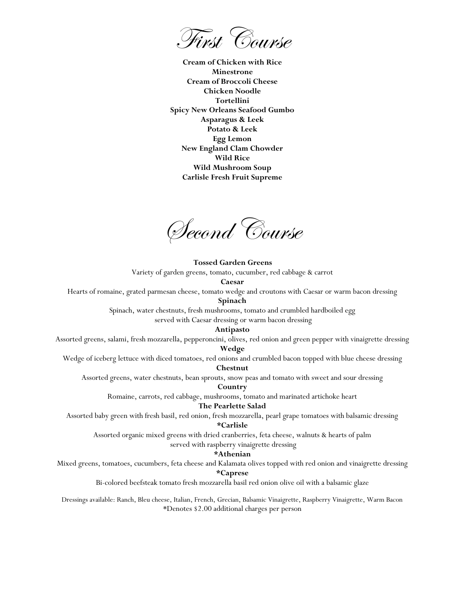First Course

**Cream of Chicken with Rice Minestrone Cream of Broccoli Cheese Chicken Noodle Tortellini Spicy New Orleans Seafood Gumbo Asparagus & Leek Potato & Leek Egg Lemon New England Clam Chowder Wild Rice Wild Mushroom Soup Carlisle Fresh Fruit Supreme**

Second Course

**Tossed Garden Greens** 

Variety of garden greens, tomato, cucumber, red cabbage & carrot

#### **Caesar**

Hearts of romaine, grated parmesan cheese, tomato wedge and croutons with Caesar or warm bacon dressing

### **Spinach**

Spinach, water chestnuts, fresh mushrooms, tomato and crumbled hardboiled egg

served with Caesar dressing or warm bacon dressing

#### **Antipasto**

Assorted greens, salami, fresh mozzarella, [pepperoncini,](https://www.google.com/search?q=pepperoncini&spell=1&sa=X&ved=0CBsQvwUoAGoVChMIrZvYyLvlxgIVy5MNCh2uIwVG) olives, red onion and green pepper with vinaigrette dressing

# **Wedge**

Wedge of iceberg lettuce with diced tomatoes, red onions and crumbled bacon topped with blue cheese dressing

#### **Chestnut**

Assorted greens, water chestnuts, bean sprouts, snow peas and tomato with sweet and sour dressing

### **Country**

Romaine, carrots, red cabbage, mushrooms, tomato and marinated artichoke heart

### **The Pearlette Salad**

Assorted baby green with fresh basil, red onion, fresh mozzarella, pearl grape tomatoes with balsamic dressing **\*Carlisle**

Assorted organic mixed greens with dried cranberries, feta cheese, walnuts & hearts of palm

served with raspberry vinaigrette dressing

### **\*Athenian**

Mixed greens, tomatoes, cucumbers, feta cheese and Kalamata olives topped with red onion and vinaigrette dressing

### **\*Caprese**

Bi-colored beefsteak tomato fresh mozzarella basil red onion olive oil with a balsamic glaze

Dressings available: Ranch, Bleu cheese, Italian, French, Grecian, Balsamic Vinaigrette, Raspberry Vinaigrette, Warm Bacon \*Denotes \$2.00 additional charges per person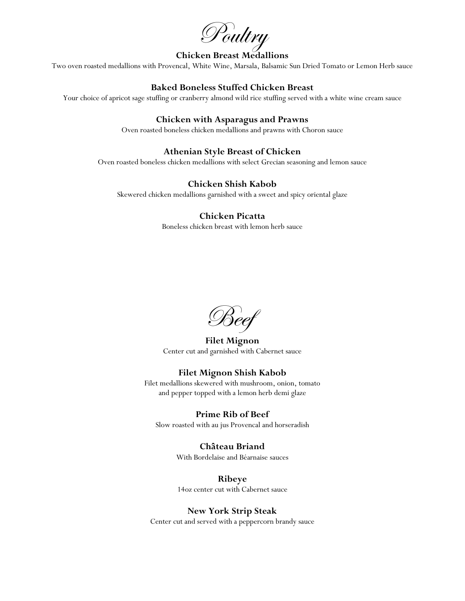Poultry

## **Chicken Breast Medallions**

Two oven roasted medallions with Provencal, White Wine, Marsala, Balsamic Sun Dried Tomato or Lemon Herb sauce

## **Baked Boneless Stuffed Chicken Breast**

Your choice of apricot sage stuffing or cranberry almond wild rice stuffing served with a white wine cream sauce

## **Chicken with Asparagus and Prawns**

Oven roasted boneless chicken medallions and prawns with Choron sauce

## **Athenian Style Breast of Chicken**

Oven roasted boneless chicken medallions with select Grecian seasoning and lemon sauce

## **Chicken Shish Kabob**

Skewered chicken medallions garnished with a sweet and spicy oriental glaze

### **Chicken Picatta**

Boneless chicken breast with lemon herb sauce

Beef

**Filet Mignon** Center cut and garnished with Cabernet sauce

## **Filet Mignon Shish Kabob**

Filet medallions skewered with mushroom, onion, tomato and pepper topped with a lemon herb demi glaze

### **Prime Rib of Beef**

Slow roasted with au jus Provencal and horseradish

# **Château Briand**

With Bordelaise and Béarnaise sauces

**Ribeye** 14oz center cut with Cabernet sauce

## **New York Strip Steak**

Center cut and served with a peppercorn brandy sauce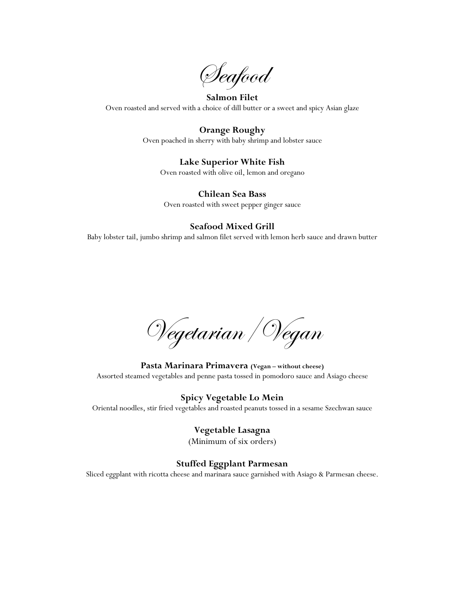Seafood

## **Salmon Filet** Oven roasted and served with a choice of dill butter or a sweet and spicy Asian glaze

# **Orange Roughy**

Oven poached in sherry with baby shrimp and lobster sauce

## **Lake Superior White Fish**

Oven roasted with olive oil, lemon and oregano

## **Chilean Sea Bass**

Oven roasted with sweet pepper ginger sauce

## **Seafood Mixed Grill**

Baby lobster tail, jumbo shrimp and salmon filet served with lemon herb sauce and drawn butter

Vegetarian/Vegan

**Pasta Marinara Primavera** (Vegan – without cheese) Assorted steamed vegetables and penne pasta tossed in pomodoro sauce and Asiago cheese

**Spicy Vegetable Lo Mein** Oriental noodles, stir fried vegetables and roasted peanuts tossed in a sesame Szechwan sauce

# **Vegetable Lasagna**

(Minimum of six orders)

## **Stuffed Eggplant Parmesan**

Sliced eggplant with ricotta cheese and marinara sauce garnished with Asiago & Parmesan cheese.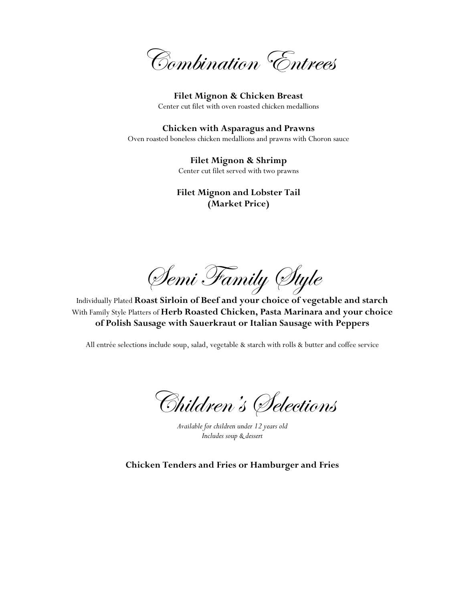Combination Entrees

**Filet Mignon & Chicken Breast** Center cut filet with oven roasted chicken medallions

**Chicken with Asparagus and Prawns** Oven roasted boneless chicken medallions and prawns with Choron sauce

> **Filet Mignon & Shrimp** Center cut filet served with two prawns

**Filet Mignon and Lobster Tail (Market Price)**

Semi Family Style

Individually Plated **Roast Sirloin of Beef and your choice of vegetable and starch** With Family Style Platters of **Herb Roasted Chicken, Pasta Marinara and your choice of Polish Sausage with Sauerkraut or Italian Sausage with Peppers**

All entrée selections include soup, salad, vegetable & starch with rolls & butter and coffee service

Children' s Selections

*Available for children under 12 years old Includes soup & dessert*

**Chicken Tenders and Fries or Hamburger and Fries**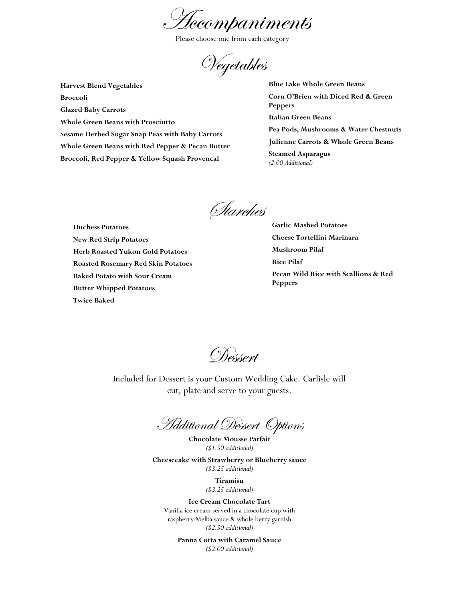Accompaniments

Please choose one from each category

Vegetables

 **Harvest Blend Vegetables Broccoli Glazed Baby Carrots Whole Green Beans with Prosciutto Sesame Herbed Sugar Snap Peas with Baby Carrots Whole Green Beans with Red Pepper & Pecan Butter Broccoli, Red Pepper & Yellow Squash Provencal**

**Blue Lake Whole Green Beans Corn O'Brien with Diced Red & Green Peppers Italian Green Beans Pea Pods, Mushrooms & Water Chestnuts Julienne Carrots & Whole Green Beans Steamed Asparagus** *(2.00 Additional)*

Starches

 **Duchess Potatoes New Red Strip Potatoes Herb Roasted Yukon Gold Potatoes Roasted Rosemary Red Skin Potatoes Baked Potato with Sour Cream Butter Whipped Potatoes Twice Baked**

**Garlic Mashed Potatoes Cheese Tortellini Marinara Mushroom Pilaf Rice Pilaf Pecan Wild Rice with Scallions & Red Peppers** 

Dessert

Included for Dessert is your Custom Wedding Cake. Carlisle will cut, plate and serve to your guests.

Additional Dessert Options

**Chocolate Mousse Parfait** *(\$1.50 additional)*

**Cheesecake with Strawberry or Blueberry sauce** *(\$3.25 additional)*

> **Tiramisu** *(\$3.25 additional)*

**Ice Cream Chocolate Tart** Vanilla ice cream served in a chocolate cup with raspberry Melba sauce & whole berry garnish *(\$2.50 additional)*

**Panna Cotta with Caramel Sauce** *(\$2.00 additional)*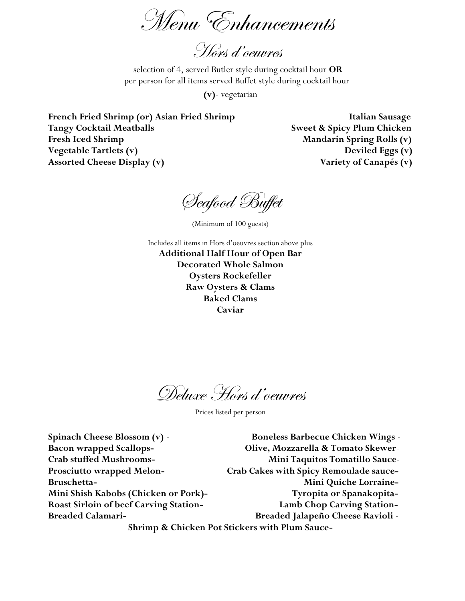Menu Enhancements

Hors d'oeuvres

selection of 4, served Butler style during cocktail hour **OR** per person for all items served Buffet style during cocktail hour

**(v)**- vegetarian

French Fried Shrimp (or) Asian Fried Shrimp **Italian Sausage Tangy Cocktail Meatballs Sweet & Spicy Plum Chicken** Fresh Iced Shrimp **Mandarin Spring Rolls (v) Vegetable Tartlets (v) Deviled Eggs (v)** Assorted Cheese Display (v) Variety of Canapés (v)

Seafood Buffet

(Minimum of 100 guests)

Includes all items in Hors d'oeuvres section above plus **Additional Half Hour of Open Bar Decorated Whole Salmon Oysters Rockefeller Raw Oysters & Clams Baked Clams Caviar**

Deluxe Hors d'oeuvres

Prices listed per person

**Spinach Cheese Blossom (v)** - **Boneless Barbecue Chicken Wings** - **Bacon wrapped Scallops- Olive, Mozzarella & Tomato Skewer**-**Crab stuffed Mushrooms- Mini Taquitos Tomatillo Sauce**-**Prosciutto wrapped Melon- Crab Cakes with Spicy Remoulade sauce-Bruschetta- Mini Quiche Lorraine-Mini Shish Kabobs (Chicken or Pork)- Tyropita or Spanakopita-Roast Sirloin of beef Carving Station- Lamb Chop Carving Station-Breaded Calamari- Breaded Jalapeño Cheese Ravioli** - **Shrimp & Chicken Pot Stickers with Plum Sauce-**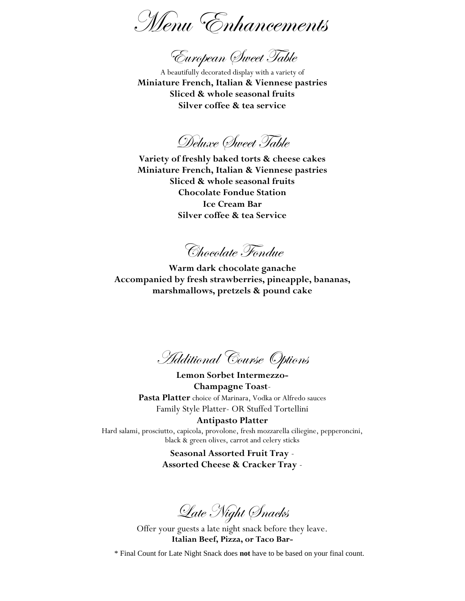Menu Enhancements

European Sweet Table

A beautifully decorated display with a variety of **Miniature French, Italian & Viennese pastries Sliced & whole seasonal fruits Silver coffee & tea service**

Deluxe Sweet Table

**Variety of freshly baked torts & cheese cakes Miniature French, Italian & Viennese pastries Sliced & whole seasonal fruits Chocolate Fondue Station Ice Cream Bar Silver coffee & tea Service**

Chocolate Fondue

**Warm dark chocolate ganache Accompanied by fresh strawberries, pineapple, bananas, marshmallows, pretzels & pound cake**

Additional Course Options

**Lemon Sorbet Intermezzo-Champagne Toast**-**Pasta Platter** choice of Marinara, Vodka or Alfredo sauces Family Style Platter- OR Stuffed Tortellini **Antipasto Platter**

Hard salami, prosciutto, capicola, provolone, fresh mozzarella ciliegine, pepperoncini, black & green olives, carrot and celery sticks

> **Seasonal Assorted Fruit Tray** - **Assorted Cheese & Cracker Tray** -

Late Night Snacks

Offer your guests a late night snack before they leave. **Italian Beef, Pizza, or Taco Bar-**

\* Final Count for Late Night Snack does **not** have to be based on your final count.